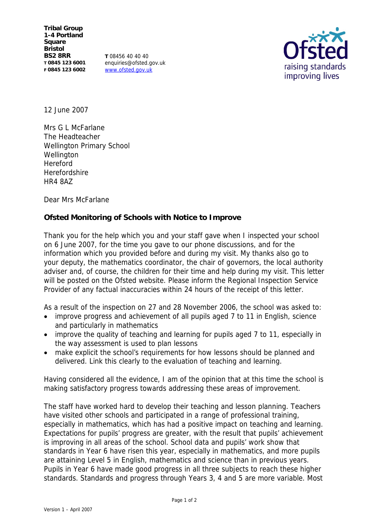**Tribal Group 1-4 Portland Square Bristol BS2 8RR T 0845 123 6001 F 0845 123 6002**

**T** 08456 40 40 40 enquiries@ofsted.gov.uk www.ofsted.gov.uk



12 June 2007

Mrs G L McFarlane The Headteacher Wellington Primary School Wellington Hereford Herefordshire HR4 8AZ

Dear Mrs McFarlane

**Ofsted Monitoring of Schools with Notice to Improve** 

Thank you for the help which you and your staff gave when I inspected your school on 6 June 2007, for the time you gave to our phone discussions, and for the information which you provided before and during my visit. My thanks also go to your deputy, the mathematics coordinator, the chair of governors, the local authority adviser and, of course, the children for their time and help during my visit. This letter will be posted on the Ofsted website. Please inform the Regional Inspection Service Provider of any factual inaccuracies within 24 hours of the receipt of this letter.

As a result of the inspection on 27 and 28 November 2006, the school was asked to:

- improve progress and achievement of all pupils aged 7 to 11 in English, science and particularly in mathematics
- improve the quality of teaching and learning for pupils aged 7 to 11, especially in the way assessment is used to plan lessons
- make explicit the school's requirements for how lessons should be planned and delivered. Link this clearly to the evaluation of teaching and learning.

Having considered all the evidence, I am of the opinion that at this time the school is making satisfactory progress towards addressing these areas of improvement.

The staff have worked hard to develop their teaching and lesson planning. Teachers have visited other schools and participated in a range of professional training, especially in mathematics, which has had a positive impact on teaching and learning. Expectations for pupils' progress are greater, with the result that pupils' achievement is improving in all areas of the school. School data and pupils' work show that standards in Year 6 have risen this year, especially in mathematics, and more pupils are attaining Level 5 in English, mathematics and science than in previous years. Pupils in Year 6 have made good progress in all three subjects to reach these higher standards. Standards and progress through Years 3, 4 and 5 are more variable. Most